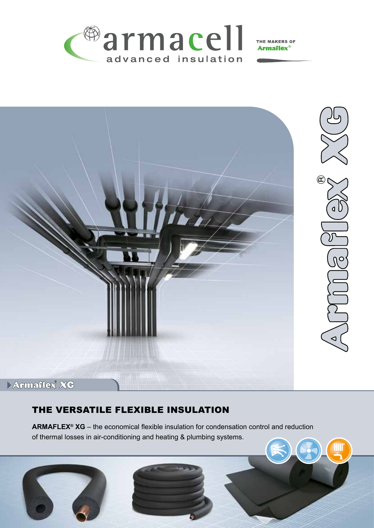

THE MAKERS OF **Armaflex**®



# Armaflex XG

## THE VERSATILE FLEXIBLE INSULATION

**Armaflex® XG** – the economical flexible insulation for condensation control and reduction of thermal losses in air-conditioning and heating & plumbing systems.

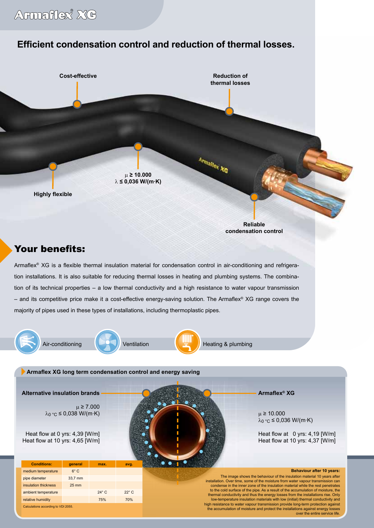# **Efficient condensation control and reduction of thermal losses.**

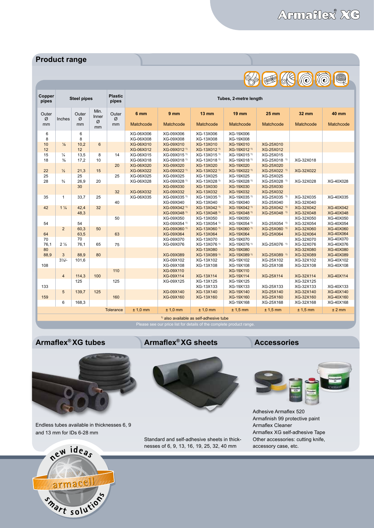### **Product range**

| Copper<br>pipes                          | <b>Steel pipes</b> |         |                 | <b>Plastic</b><br>pipes | Tubes, 2-metre length  |                                      |                                                    |                                      |                              |                        |                               |  |  |  |
|------------------------------------------|--------------------|---------|-----------------|-------------------------|------------------------|--------------------------------------|----------------------------------------------------|--------------------------------------|------------------------------|------------------------|-------------------------------|--|--|--|
| Outer                                    |                    | Outer   | Min.<br>Inner   | Outer                   | 6 mm                   | 9 <sub>mm</sub>                      | <b>13 mm</b>                                       | <b>19 mm</b>                         | <b>25 mm</b>                 | 32 mm                  | <b>40 mm</b>                  |  |  |  |
| Ø<br>mm                                  | Inches             | Ø<br>mm | Ø<br>mm         | Ø<br>mm                 | Matchcode              | Matchcode                            | Matchcode                                          | Matchcode                            | Matchcode                    | Matchcode              | Matchcode                     |  |  |  |
| 6                                        |                    | 6<br>8  |                 |                         | XG-06X006<br>XG-06X008 | XG-09X006<br>XG-09X008               | XG-13X006<br>XG-13X008                             | XG-19X006<br>XG-19X008               |                              |                        |                               |  |  |  |
| 8<br>10                                  | $\frac{1}{8}$      | 10,2    | $6\phantom{1}$  |                         | XG-06X010              | XG-09X010                            | XG-13X010                                          | XG-19X010                            | XG-25X010                    |                        |                               |  |  |  |
| 12                                       |                    | 12      |                 |                         | XG-06X012              | XG-09X012 <sup>1)</sup>              | XG-13X012 <sup>1)</sup>                            | XG-19X012 <sup>1)</sup>              | XG-25X012                    |                        |                               |  |  |  |
| 15                                       | $\frac{1}{4}$      | 13,5    | 8               | 14                      | XG-06X015              | XG-09X015 <sup>1)</sup>              | XG-13X015 <sup>1)</sup>                            | XG-19X015 <sup>1)</sup>              | XG-25X015                    |                        |                               |  |  |  |
| 18                                       | $\frac{3}{8}$      | 17,2    | 10              |                         | XG-06X018              | XG-09X018 <sup>1)</sup>              | XG-13X018 <sup>1)</sup>                            | XG-19X018 <sup>1)</sup>              | XG-25X018 1)                 | XG-32X018              |                               |  |  |  |
|                                          |                    |         |                 | 20                      | XG-06X020              | XG-09X020                            | XG-13X020                                          | XG-19X020                            | XG-25X020                    |                        |                               |  |  |  |
| 22                                       | $\frac{1}{2}$      | 21,3    | 15              |                         | XG-06X022              | XG-09X022 <sup>1)</sup>              | XG-13X022 <sup>1)</sup>                            | XG-19X022 <sup>1)</sup>              | XG-25X022 <sup>1)</sup>      | XG-32X022              |                               |  |  |  |
| 25                                       |                    | 25      |                 | 25                      | XG-06X025              | XG-09X025                            | XG-13X025                                          | XG-19X025                            | XG-25X025                    |                        |                               |  |  |  |
| 28                                       | $\frac{3}{4}$      | 26,9    | 20              |                         | XG-06X028              | XG-09X028 <sup>1)</sup>              | XG-13X028 <sup>1)</sup>                            | XG-19X028 <sup>1)</sup>              | XG-25X028 1)                 | XG-32X028              | XG-40X028                     |  |  |  |
|                                          |                    | 30      |                 |                         |                        | XG-09X030                            | XG-13X030                                          | XG-19X030                            | XG-25X030                    |                        |                               |  |  |  |
|                                          |                    |         |                 | 32                      | XG-06X032              | XG-09X032                            | XG-13X032                                          | XG-19X032                            | XG-25X032                    |                        |                               |  |  |  |
| 35                                       | $\mathbf{1}$       | 33,7    | 25              |                         | XG-06X035              | XG-09X035 <sup>1)</sup>              | XG-13X035 <sup>1)</sup>                            | XG-19X035 <sup>1)</sup>              | XG-25X035 <sup>1)</sup>      | XG-32X035              | XG-40X035                     |  |  |  |
|                                          |                    |         |                 | 40                      |                        | XG-09X040                            | XG-13X040                                          | XG-19X040                            | XG-25X040                    | XG-32X040              |                               |  |  |  |
| 42                                       | $1\frac{1}{4}$     | 42.4    | 32 <sup>2</sup> |                         |                        | XG-09X042 <sup>1)</sup>              | XG-13X042 <sup>1)</sup>                            | XG-19X042 <sup>1)</sup>              | XG-25X042 <sup>1)</sup>      | XG-32X042              | <b>XG-40X042</b>              |  |  |  |
|                                          |                    | 48,3    |                 |                         |                        | XG-09X048 <sup>1)</sup>              | XG-13X048 <sup>1)</sup>                            | XG-19X048 <sup>1)</sup>              | XG-25X048 <sup>1)</sup>      | XG-32X048              | XG-40X048                     |  |  |  |
|                                          |                    | 54      |                 | 50                      |                        | XG-09X050<br>XG-09X054 <sup>1)</sup> | XG-13X050                                          | XG-19X050<br>XG-19X054 <sup>1)</sup> |                              | XG-32X050<br>XG-32X054 | <b>XG-40X050</b><br>XG-40X054 |  |  |  |
| 54                                       | $\overline{2}$     | 60,3    | 50              |                         |                        | XG-09X060 <sup>1)</sup>              | XG-13X054 <sup>1)</sup><br>XG-13X060 <sup>1)</sup> | XG-19X060 <sup>1)</sup>              | XG-25X054 1)<br>XG-25X060 1) | XG-32X060              | XG-40X060                     |  |  |  |
| 64                                       |                    | 63,5    |                 | 63                      |                        | XG-09X064                            | XG-13X064                                          | <b>XG-19X064</b>                     | XG-25X064                    | XG-32X064              | <b>XG-40X064</b>              |  |  |  |
| 70                                       |                    | 70      |                 |                         |                        | XG-09X070                            | XG-13X070                                          | XG-19X070                            |                              | XG-32X070              | XG-40X070                     |  |  |  |
| 76,1                                     | 2 <sub>2</sub>     | 76,1    | 65              | 75                      |                        | XG-09X076                            | XG-13X076 <sup>1)</sup>                            | XG-19X076 <sup>1)</sup>              | XG-25X076 1)                 | XG-32X076              | XG-40X076                     |  |  |  |
| 80                                       |                    |         |                 |                         |                        |                                      | XG-13X080                                          | XG-19X080                            |                              | XG-32X080              | XG-40X080                     |  |  |  |
| 88,9                                     | 3                  | 88,9    | 80              |                         |                        | XG-09X089                            | XG-13X089 1)                                       | XG-19X089 1)                         | XG-25X089 1)                 | XG-32X089              | <b>XG-40X089</b>              |  |  |  |
|                                          | $3\frac{1}{2}$     | 101,6   |                 |                         |                        | XG-09X102                            | XG-13X102                                          | XG-19X102                            | XG-25X102                    | XG-32X102              | XG-40X102                     |  |  |  |
| 108                                      |                    |         |                 |                         |                        | XG-09X108                            | XG-13X108                                          | XG-19X108                            | XG-25X108                    | XG-32X108              | XG-40X108                     |  |  |  |
|                                          |                    |         |                 | 110                     |                        | XG-09X110                            |                                                    | XG-19X110                            |                              |                        |                               |  |  |  |
|                                          | $\overline{4}$     | 114,3   | 100             |                         |                        | XG-09X114                            | XG-13X114                                          | <b>XG-19X114</b>                     | XG-25X114                    | XG-32X114              | <b>XG-40X114</b>              |  |  |  |
|                                          |                    | 125     |                 | 125                     |                        | XG-09X125                            | XG-13X125                                          | XG-19X125                            |                              | XG-32X125              |                               |  |  |  |
| 133                                      |                    |         |                 |                         |                        |                                      | XG-13X133                                          | XG-19X133                            | XG-25X133                    | XG-32X133              | XG-40X133                     |  |  |  |
|                                          | 5                  | 139,7   | 125             |                         |                        | XG-09X140                            | XG-13X140                                          | <b>XG-19X140</b>                     | XG-25X140                    | XG-32X140              | <b>XG-40X140</b>              |  |  |  |
| 159                                      |                    |         |                 | 160                     |                        | XG-09X160                            | XG-13X160                                          | XG-19X160                            | XG-25X160                    | XG-32X160              | XG-40X160                     |  |  |  |
|                                          | 6                  | 168,3   |                 |                         |                        |                                      |                                                    | XG-19X168                            | XG-25X168                    | XG-32X168              | XG-40X168                     |  |  |  |
|                                          |                    |         |                 | <b>Tolerance</b>        | $± 1,0$ mm             | $± 1,0$ mm                           | $± 1,0$ mm                                         | $± 1,5$ mm                           | $± 1,5$ mm                   | $± 1,5$ mm             | ± 2 mm                        |  |  |  |
| $1$ also available as self-adhesive tube |                    |         |                 |                         |                        |                                      |                                                    |                                      |                              |                        |                               |  |  |  |

1) also available as self-adhesive tube

ase see our price list for details of the complete product range.



Endless tubes available in thicknesses 6, 9 and 13 mm for IDs 6-28 mm



### **Armaflex<sup>®</sup> XG tubes <b>Armaflex<sup>®</sup> XG sheets Accessories**





Standard and self-adhesive sheets in thicknesses of 6, 9, 13, 16, 19, 25, 32, 40 mm



Adhesive Armaflex 520 Armafinish 99 protective paint Armaflex Cleaner Armaflex XG self-adhesive Tape Other accessories: cutting knife, accessory case, etc.